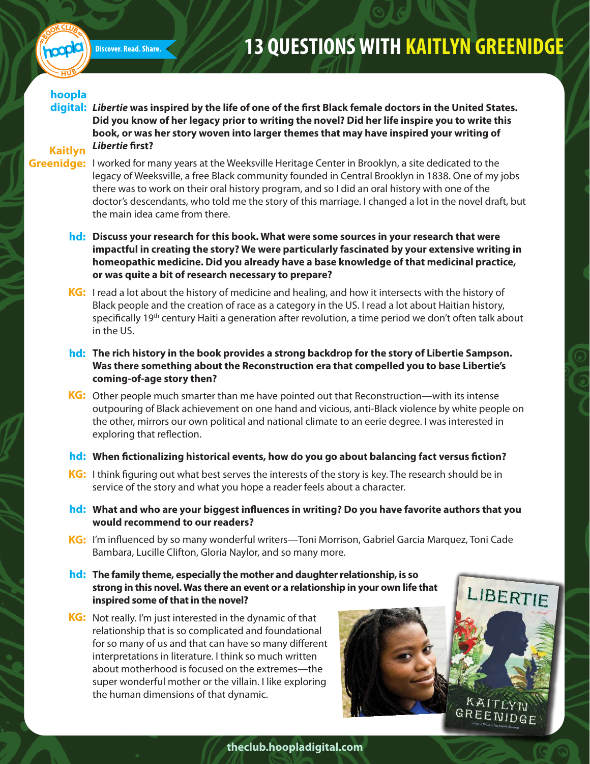

## **13 QUESTIONS WITH KAITLYN GREENIDGE**

## **hoopla**

digital: Libertie was inspired by the life of one of the first Black female doctors in the United States. **Did you know of her legacy prior to writing the novel? Did her life inspire you to write this book, or was her story woven into larger themes that may have inspired your writing of**  *Libertie* **first?** 

## **Kaitlyn**

- Greenidge: I worked for many years at the Weeksville Heritage Center in Brooklyn, a site dedicated to the legacy of Weeksville, a free Black community founded in Central Brooklyn in 1838. One of my jobs there was to work on their oral history program, and so I did an oral history with one of the doctor's descendants, who told me the story of this marriage. I changed a lot in the novel draft, but the main idea came from there.
	- **Discuss your research for this book. What were some sources in your research that were hd: impactful in creating the story? We were particularly fascinated by your extensive writing in homeopathic medicine. Did you already have a base knowledge of that medicinal practice, or was quite a bit of research necessary to prepare?**
	- KG: I read a lot about the history of medicine and healing, and how it intersects with the history of Black people and the creation of race as a category in the US. I read a lot about Haitian history, specifically 19<sup>th</sup> century Haiti a generation after revolution, a time period we don't often talk about in the US.
	- **The rich history in the book provides a strong backdrop for the story of Libertie Sampson. hd: Was there something about the Reconstruction era that compelled you to base Libertie's coming-of-age story then?**
	- KG: Other people much smarter than me have pointed out that Reconstruction—with its intense outpouring of Black achievement on one hand and vicious, anti-Black violence by white people on the other, mirrors our own political and national climate to an eerie degree. I was interested in exploring that reflection.
	- hd: When fictionalizing historical events, how do you go about balancing fact versus fiction?
	- KG: I think figuring out what best serves the interests of the story is key. The research should be in service of the story and what you hope a reader feels about a character.
	- hd: What and who are your biggest influences in writing? Do you have favorite authors that you **would recommend to our readers?**
	- KG: I'm influenced by so many wonderful writers—Toni Morrison, Gabriel Garcia Marquez, Toni Cade Bambara, Lucille Clifton, Gloria Naylor, and so many more.
	- **The family theme, especially the mother and daughter relationship, is so hd: strong in this novel. Was there an event or a relationship in your own life that inspired some of that in the novel?**
	- KG: Not really. I'm just interested in the dynamic of that relationship that is so complicated and foundational for so many of us and that can have so many different interpretations in literature. I think so much written about motherhood is focused on the extremes—the super wonderful mother or the villain. I like exploring the human dimensions of that dynamic.